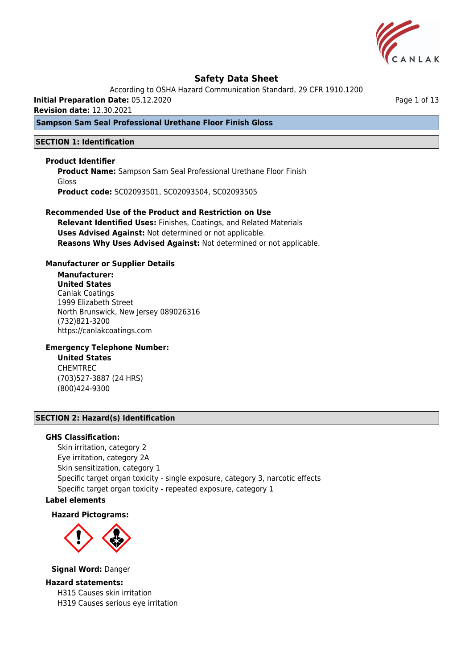

According to OSHA Hazard Communication Standard, 29 CFR 1910.1200

**Initial Preparation Date:** 05.12.2020

**Revision date:** 12.30.2021

## **Sampson Sam Seal Professional Urethane Floor Finish Gloss**

### **SECTION 1: Identification**

### **Product Identifier**

**Product Name:** Sampson Sam Seal Professional Urethane Floor Finish Gloss **Product code:** SC02093501, SC02093504, SC02093505

# **Recommended Use of the Product and Restriction on Use**

**Relevant Identified Uses:** Finishes, Coatings, and Related Materials **Uses Advised Against:** Not determined or not applicable. **Reasons Why Uses Advised Against:** Not determined or not applicable.

### **Manufacturer or Supplier Details**

## **Manufacturer:**

**United States** Canlak Coatings 1999 Elizabeth Street North Brunswick, New Jersey 089026316 (732)821-3200 https://canlakcoatings.com

### **Emergency Telephone Number:**

**United States** CHEMTREC (703)527-3887 (24 HRS) (800)424-9300

## **SECTION 2: Hazard(s) Identification**

#### **GHS Classification:**

Skin irritation, category 2 Eye irritation, category 2A Skin sensitization, category 1 Specific target organ toxicity - single exposure, category 3, narcotic effects Specific target organ toxicity - repeated exposure, category 1

## **Label elements**

#### **Hazard Pictograms:**



#### **Signal Word:** Danger

#### **Hazard statements:**

H315 Causes skin irritation H319 Causes serious eye irritation Page 1 of 13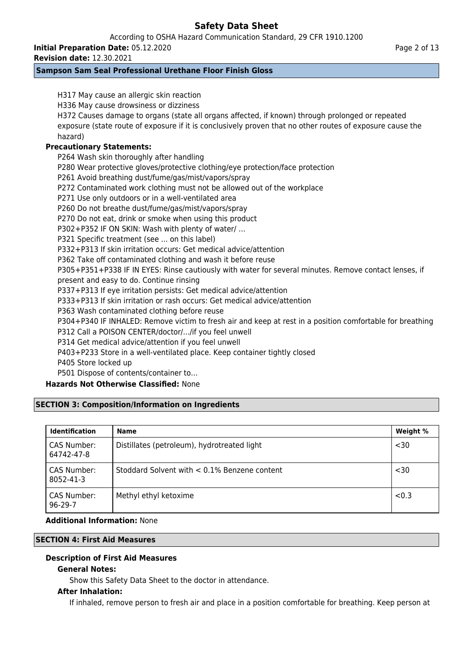According to OSHA Hazard Communication Standard, 29 CFR 1910.1200

**Initial Preparation Date:** 05.12.2020

**Revision date:** 12.30.2021

## **Sampson Sam Seal Professional Urethane Floor Finish Gloss**

H317 May cause an allergic skin reaction H336 May cause drowsiness or dizziness H372 Causes damage to organs (state all organs affected, if known) through prolonged or repeated exposure (state route of exposure if it is conclusively proven that no other routes of exposure cause the hazard) **Precautionary Statements:** P264 Wash skin thoroughly after handling P280 Wear protective gloves/protective clothing/eye protection/face protection P261 Avoid breathing dust/fume/gas/mist/vapors/spray P272 Contaminated work clothing must not be allowed out of the workplace P271 Use only outdoors or in a well-ventilated area P260 Do not breathe dust/fume/gas/mist/vapors/spray P270 Do not eat, drink or smoke when using this product P302+P352 IF ON SKIN: Wash with plenty of water/ … P321 Specific treatment (see ... on this label) P332+P313 If skin irritation occurs: Get medical advice/attention P362 Take off contaminated clothing and wash it before reuse P305+P351+P338 IF IN EYES: Rinse cautiously with water for several minutes. Remove contact lenses, if present and easy to do. Continue rinsing P337+P313 If eye irritation persists: Get medical advice/attention P333+P313 If skin irritation or rash occurs: Get medical advice/attention P363 Wash contaminated clothing before reuse P304+P340 IF INHALED: Remove victim to fresh air and keep at rest in a position comfortable for breathing P312 Call a POISON CENTER/doctor/.../if you feel unwell P314 Get medical advice/attention if you feel unwell P403+P233 Store in a well-ventilated place. Keep container tightly closed P405 Store locked up P501 Dispose of contents/container to… **Hazards Not Otherwise Classified:** None **SECTION 3: Composition/Information on Ingredients Identification Name Weight %** CAS Number: 64742-47-8 Distillates (petroleum), hydrotreated light  $\sim$  30 CAS Number: 8052-41-3 Stoddard Solvent with < 0.1% Benzene content <30 CAS Number: Methyl ethyl ketoxime  $\vert$  <0.3

## **Additional Information:** None

### **SECTION 4: First Aid Measures**

## **Description of First Aid Measures**

### **General Notes:**

96-29-7

Show this Safety Data Sheet to the doctor in attendance.

### **After Inhalation:**

If inhaled, remove person to fresh air and place in a position comfortable for breathing. Keep person at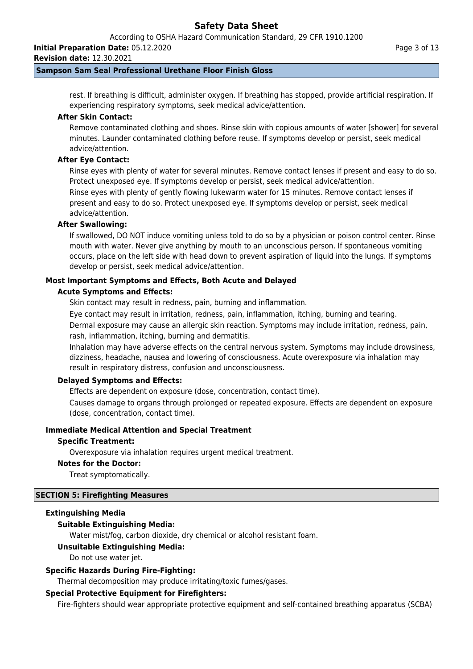According to OSHA Hazard Communication Standard, 29 CFR 1910.1200

**Initial Preparation Date:** 05.12.2020

**Revision date:** 12.30.2021

### **Sampson Sam Seal Professional Urethane Floor Finish Gloss**

rest. If breathing is difficult, administer oxygen. If breathing has stopped, provide artificial respiration. If experiencing respiratory symptoms, seek medical advice/attention.

## **After Skin Contact:**

Remove contaminated clothing and shoes. Rinse skin with copious amounts of water [shower] for several minutes. Launder contaminated clothing before reuse. If symptoms develop or persist, seek medical advice/attention.

## **After Eye Contact:**

Rinse eyes with plenty of water for several minutes. Remove contact lenses if present and easy to do so. Protect unexposed eye. If symptoms develop or persist, seek medical advice/attention.

Rinse eyes with plenty of gently flowing lukewarm water for 15 minutes. Remove contact lenses if present and easy to do so. Protect unexposed eye. If symptoms develop or persist, seek medical advice/attention.

### **After Swallowing:**

If swallowed, DO NOT induce vomiting unless told to do so by a physician or poison control center. Rinse mouth with water. Never give anything by mouth to an unconscious person. If spontaneous vomiting occurs, place on the left side with head down to prevent aspiration of liquid into the lungs. If symptoms develop or persist, seek medical advice/attention.

## **Most Important Symptoms and Effects, Both Acute and Delayed**

### **Acute Symptoms and Effects:**

Skin contact may result in redness, pain, burning and inflammation.

Eye contact may result in irritation, redness, pain, inflammation, itching, burning and tearing.

Dermal exposure may cause an allergic skin reaction. Symptoms may include irritation, redness, pain, rash, inflammation, itching, burning and dermatitis.

Inhalation may have adverse effects on the central nervous system. Symptoms may include drowsiness, dizziness, headache, nausea and lowering of consciousness. Acute overexposure via inhalation may result in respiratory distress, confusion and unconsciousness.

### **Delayed Symptoms and Effects:**

Effects are dependent on exposure (dose, concentration, contact time).

Causes damage to organs through prolonged or repeated exposure. Effects are dependent on exposure (dose, concentration, contact time).

### **Immediate Medical Attention and Special Treatment**

### **Specific Treatment:**

Overexposure via inhalation requires urgent medical treatment.

### **Notes for the Doctor:**

Treat symptomatically.

### **SECTION 5: Firefighting Measures**

### **Extinguishing Media**

### **Suitable Extinguishing Media:**

Water mist/fog, carbon dioxide, dry chemical or alcohol resistant foam.

### **Unsuitable Extinguishing Media:**

Do not use water jet.

### **Specific Hazards During Fire-Fighting:**

Thermal decomposition may produce irritating/toxic fumes/gases.

### **Special Protective Equipment for Firefighters:**

Fire-fighters should wear appropriate protective equipment and self-contained breathing apparatus (SCBA)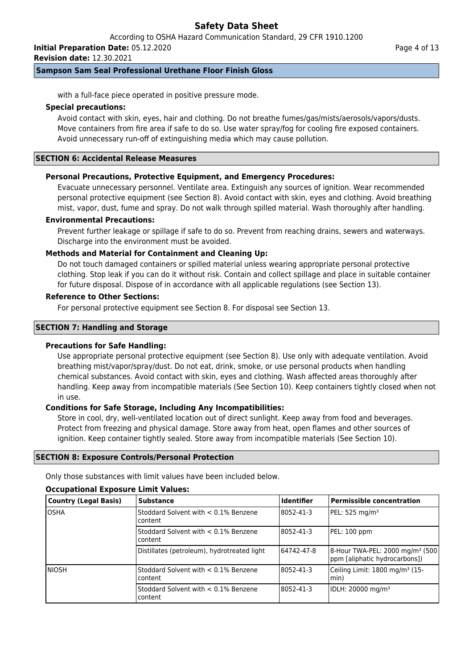According to OSHA Hazard Communication Standard, 29 CFR 1910.1200

**Initial Preparation Date:** 05.12.2020

**Revision date:** 12.30.2021

## **Sampson Sam Seal Professional Urethane Floor Finish Gloss**

with a full-face piece operated in positive pressure mode.

### **Special precautions:**

Avoid contact with skin, eyes, hair and clothing. Do not breathe fumes/gas/mists/aerosols/vapors/dusts. Move containers from fire area if safe to do so. Use water spray/fog for cooling fire exposed containers. Avoid unnecessary run-off of extinguishing media which may cause pollution.

## **SECTION 6: Accidental Release Measures**

## **Personal Precautions, Protective Equipment, and Emergency Procedures:**

Evacuate unnecessary personnel. Ventilate area. Extinguish any sources of ignition. Wear recommended personal protective equipment (see Section 8). Avoid contact with skin, eyes and clothing. Avoid breathing mist, vapor, dust, fume and spray. Do not walk through spilled material. Wash thoroughly after handling.

### **Environmental Precautions:**

Prevent further leakage or spillage if safe to do so. Prevent from reaching drains, sewers and waterways. Discharge into the environment must be avoided.

### **Methods and Material for Containment and Cleaning Up:**

Do not touch damaged containers or spilled material unless wearing appropriate personal protective clothing. Stop leak if you can do it without risk. Contain and collect spillage and place in suitable container for future disposal. Dispose of in accordance with all applicable regulations (see Section 13).

### **Reference to Other Sections:**

For personal protective equipment see Section 8. For disposal see Section 13.

### **SECTION 7: Handling and Storage**

### **Precautions for Safe Handling:**

Use appropriate personal protective equipment (see Section 8). Use only with adequate ventilation. Avoid breathing mist/vapor/spray/dust. Do not eat, drink, smoke, or use personal products when handling chemical substances. Avoid contact with skin, eyes and clothing. Wash affected areas thoroughly after handling. Keep away from incompatible materials (See Section 10). Keep containers tightly closed when not in use.

### **Conditions for Safe Storage, Including Any Incompatibilities:**

Store in cool, dry, well-ventilated location out of direct sunlight. Keep away from food and beverages. Protect from freezing and physical damage. Store away from heat, open flames and other sources of ignition. Keep container tightly sealed. Store away from incompatible materials (See Section 10).

### **SECTION 8: Exposure Controls/Personal Protection**

Only those substances with limit values have been included below.

### **Occupational Exposure Limit Values:**

| <b>Country (Legal Basis)</b> | <b>Substance</b>                                | <b>Identifier</b> | <b>Permissible concentration</b>                                              |
|------------------------------|-------------------------------------------------|-------------------|-------------------------------------------------------------------------------|
| losha                        | Stoddard Solvent with < 0.1% Benzene<br>content | 8052-41-3         | PEL: 525 mg/m <sup>3</sup>                                                    |
|                              | Stoddard Solvent with < 0.1% Benzene<br>content | 8052-41-3         | PEL: 100 ppm                                                                  |
|                              | Distillates (petroleum), hydrotreated light     | 64742-47-8        | 8-Hour TWA-PEL: 2000 mg/m <sup>3</sup> (500)<br>ppm [aliphatic hydrocarbons]) |
| INIOSH                       | Stoddard Solvent with < 0.1% Benzene<br>content | 8052-41-3         | Ceiling Limit: 1800 mg/m <sup>3</sup> (15-<br>lmin)                           |
|                              | Stoddard Solvent with < 0.1% Benzene<br>content | 8052-41-3         | IDLH: 20000 mg/m <sup>3</sup>                                                 |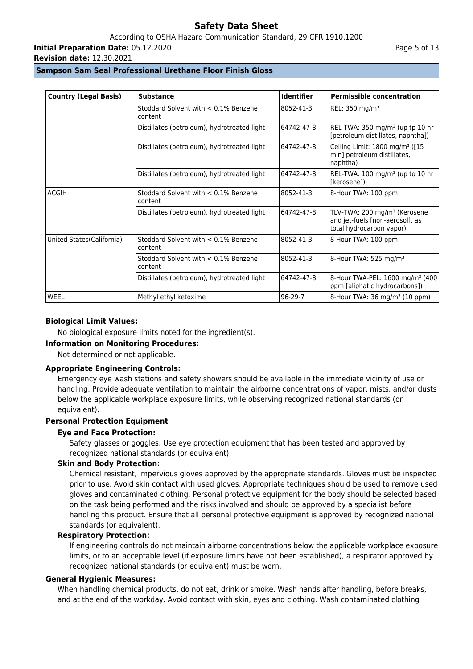## According to OSHA Hazard Communication Standard, 29 CFR 1910.1200

**Initial Preparation Date:** 05.12.2020

**Revision date:** 12.30.2021

### **Sampson Sam Seal Professional Urethane Floor Finish Gloss**

| <b>Country (Legal Basis)</b> | <b>Substance</b>                                   | <b>Identifier</b> | <b>Permissible concentration</b>                                                                        |
|------------------------------|----------------------------------------------------|-------------------|---------------------------------------------------------------------------------------------------------|
|                              | Stoddard Solvent with $< 0.1\%$ Benzene<br>content | 8052-41-3         | REL: 350 mg/m <sup>3</sup>                                                                              |
|                              | Distillates (petroleum), hydrotreated light        | 64742-47-8        | REL-TWA: $350$ mg/m <sup>3</sup> (up tp 10 hr<br>[petroleum distillates, naphtha])                      |
|                              | Distillates (petroleum), hydrotreated light        | 64742-47-8        | Ceiling Limit: 1800 mg/m <sup>3</sup> ([15<br>min] petroleum distillates,<br>naphtha)                   |
|                              | Distillates (petroleum), hydrotreated light        | 64742-47-8        | REL-TWA: 100 mg/m <sup>3</sup> (up to 10 hr<br>[kerosene])                                              |
| <b>ACGIH</b>                 | Stoddard Solvent with $< 0.1\%$ Benzene<br>content | 8052-41-3         | 8-Hour TWA: 100 ppm                                                                                     |
|                              | Distillates (petroleum), hydrotreated light        | 64742-47-8        | TLV-TWA: 200 mg/m <sup>3</sup> (Kerosene<br>and jet-fuels [non-aerosol], as<br>total hydrocarbon vapor) |
| United States (California)   | Stoddard Solvent with < 0.1% Benzene<br>content    | 8052-41-3         | 8-Hour TWA: 100 ppm                                                                                     |
|                              | Stoddard Solvent with $< 0.1\%$ Benzene<br>content | 8052-41-3         | 8-Hour TWA: 525 mg/m <sup>3</sup>                                                                       |
|                              | Distillates (petroleum), hydrotreated light        | 64742-47-8        | 8-Hour TWA-PEL: 1600 mg/m <sup>3</sup> (400)<br>ppm [aliphatic hydrocarbons])                           |
| WEEL                         | Methyl ethyl ketoxime                              | $96 - 29 - 7$     | 8-Hour TWA: 36 mg/m <sup>3</sup> (10 ppm)                                                               |

### **Biological Limit Values:**

No biological exposure limits noted for the ingredient(s).

## **Information on Monitoring Procedures:**

Not determined or not applicable.

### **Appropriate Engineering Controls:**

Emergency eye wash stations and safety showers should be available in the immediate vicinity of use or handling. Provide adequate ventilation to maintain the airborne concentrations of vapor, mists, and/or dusts below the applicable workplace exposure limits, while observing recognized national standards (or equivalent).

## **Personal Protection Equipment**

### **Eye and Face Protection:**

Safety glasses or goggles. Use eye protection equipment that has been tested and approved by recognized national standards (or equivalent).

### **Skin and Body Protection:**

Chemical resistant, impervious gloves approved by the appropriate standards. Gloves must be inspected prior to use. Avoid skin contact with used gloves. Appropriate techniques should be used to remove used gloves and contaminated clothing. Personal protective equipment for the body should be selected based on the task being performed and the risks involved and should be approved by a specialist before handling this product. Ensure that all personal protective equipment is approved by recognized national standards (or equivalent).

### **Respiratory Protection:**

If engineering controls do not maintain airborne concentrations below the applicable workplace exposure limits, or to an acceptable level (if exposure limits have not been established), a respirator approved by recognized national standards (or equivalent) must be worn.

### **General Hygienic Measures:**

When handling chemical products, do not eat, drink or smoke. Wash hands after handling, before breaks, and at the end of the workday. Avoid contact with skin, eyes and clothing. Wash contaminated clothing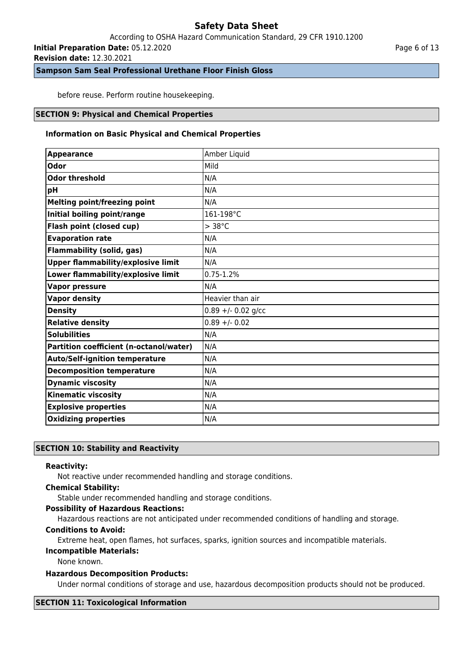## According to OSHA Hazard Communication Standard, 29 CFR 1910.1200

**Initial Preparation Date:** 05.12.2020

**Revision date:** 12.30.2021

**Sampson Sam Seal Professional Urethane Floor Finish Gloss**

before reuse. Perform routine housekeeping.

### **SECTION 9: Physical and Chemical Properties**

### **Information on Basic Physical and Chemical Properties**

| <b>Appearance</b>                         | Amber Liquid         |
|-------------------------------------------|----------------------|
| <b>Odor</b>                               | Mild                 |
| <b>Odor threshold</b>                     | N/A                  |
| pH                                        | N/A                  |
| <b>Melting point/freezing point</b>       | N/A                  |
| Initial boiling point/range               | 161-198°C            |
| Flash point (closed cup)                  | $> 38^{\circ}$ C     |
| <b>Evaporation rate</b>                   | N/A                  |
| <b>Flammability (solid, gas)</b>          | N/A                  |
| <b>Upper flammability/explosive limit</b> | N/A                  |
| Lower flammability/explosive limit        | $0.75 - 1.2%$        |
| <b>Vapor pressure</b>                     | N/A                  |
| <b>Vapor density</b>                      | Heavier than air     |
| <b>Density</b>                            | $0.89 + - 0.02$ g/cc |
| <b>Relative density</b>                   | $0.89 + - 0.02$      |
| <b>Solubilities</b>                       | N/A                  |
| Partition coefficient (n-octanol/water)   | N/A                  |
| <b>Auto/Self-ignition temperature</b>     | N/A                  |
| <b>Decomposition temperature</b>          | N/A                  |
| <b>Dynamic viscosity</b>                  | N/A                  |
| <b>Kinematic viscosity</b>                | N/A                  |
| <b>Explosive properties</b>               | N/A                  |
| <b>Oxidizing properties</b>               | N/A                  |

## **SECTION 10: Stability and Reactivity**

#### **Reactivity:**

Not reactive under recommended handling and storage conditions.

### **Chemical Stability:**

Stable under recommended handling and storage conditions.

### **Possibility of Hazardous Reactions:**

Hazardous reactions are not anticipated under recommended conditions of handling and storage.

### **Conditions to Avoid:**

Extreme heat, open flames, hot surfaces, sparks, ignition sources and incompatible materials.

## **Incompatible Materials:**

None known.

### **Hazardous Decomposition Products:**

Under normal conditions of storage and use, hazardous decomposition products should not be produced.

#### **SECTION 11: Toxicological Information**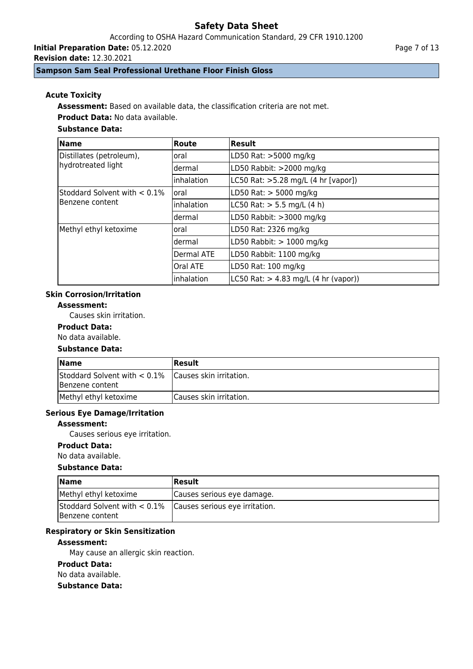According to OSHA Hazard Communication Standard, 29 CFR 1910.1200

**Initial Preparation Date:** 05.12.2020

**Revision date:** 12.30.2021

## **Sampson Sam Seal Professional Urethane Floor Finish Gloss**

## **Acute Toxicity**

**Assessment:** Based on available data, the classification criteria are not met.

**Product Data:** No data available.

## **Substance Data:**

| <b>Name</b>                                    | Route      | Result                                   |
|------------------------------------------------|------------|------------------------------------------|
| Distillates (petroleum),<br>hydrotreated light | oral       | LD50 Rat: >5000 mg/kg                    |
|                                                | dermal     | LD50 Rabbit: >2000 mg/kg                 |
|                                                | inhalation | LC50 Rat: >5.28 mg/L (4 hr [vapor])      |
| Stoddard Solvent with $< 0.1\%$                | loral      | LD50 Rat: > 5000 mg/kg                   |
| Benzene content                                | inhalation | LC50 Rat: $> 5.5$ mg/L (4 h)             |
|                                                | dermal     | LD50 Rabbit: >3000 mg/kg                 |
| Methyl ethyl ketoxime                          | oral       | LD50 Rat: 2326 mg/kg                     |
|                                                | dermal     | LD50 Rabbit: $> 1000$ mg/kg              |
|                                                | Dermal ATE | LD50 Rabbit: 1100 mg/kg                  |
|                                                | Oral ATE   | LD50 Rat: 100 mg/kg                      |
|                                                | inhalation | $LC50$ Rat: $> 4.83$ mg/L (4 hr (vapor)) |

## **Skin Corrosion/Irritation**

**Assessment:**

Causes skin irritation.

## **Product Data:**

No data available.

## **Substance Data:**

| <b>Name</b>                                                                | Result                   |
|----------------------------------------------------------------------------|--------------------------|
| Stoddard Solvent with $< 0.1\%$ Causes skin irritation.<br>Benzene content |                          |
| Methyl ethyl ketoxime                                                      | ICauses skin irritation. |

### **Serious Eye Damage/Irritation**

#### **Assessment:**

Causes serious eye irritation.

### **Product Data:**

No data available.

### **Substance Data:**

| <b>Name</b>                                                                       | <b>IResult</b>             |
|-----------------------------------------------------------------------------------|----------------------------|
| Methyl ethyl ketoxime                                                             | Causes serious eye damage. |
| Stoddard Solvent with $< 0.1\%$ Causes serious eye irritation.<br>Benzene content |                            |

## **Respiratory or Skin Sensitization**

### **Assessment:**

May cause an allergic skin reaction.

## **Product Data:**

No data available.

#### **Substance Data:**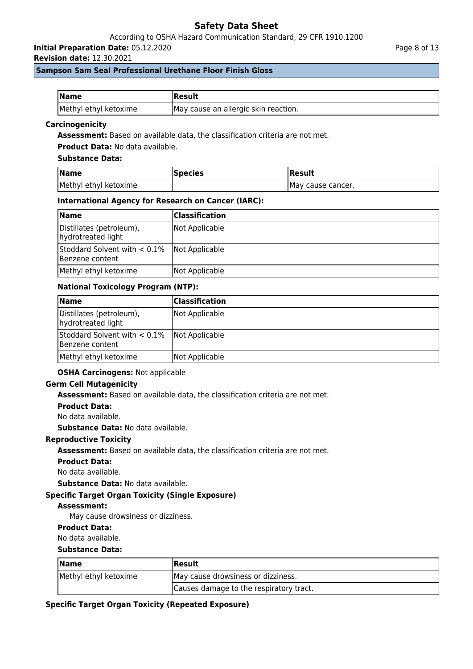## According to OSHA Hazard Communication Standard, 29 CFR 1910.1200

**Initial Preparation Date:** 05.12.2020

**Revision date:** 12.30.2021

Page 8 of 13

### **Sampson Sam Seal Professional Urethane Floor Finish Gloss**

| <b>Name</b>           | <b> Result</b>                       |
|-----------------------|--------------------------------------|
| Methyl ethyl ketoxime | May cause an allergic skin reaction. |

### **Carcinogenicity**

**Assessment:** Based on available data, the classification criteria are not met.

**Product Data:** No data available.

### **Substance Data:**

| <b>Name</b>           | <b>Species</b> | <b>Result</b>      |
|-----------------------|----------------|--------------------|
| Methyl ethyl ketoxime |                | IMay cause cancer. |

### **International Agency for Research on Cancer (IARC):**

| <b>Name</b>                                                       | Classification |
|-------------------------------------------------------------------|----------------|
| Distillates (petroleum),<br>hydrotreated light                    | Not Applicable |
| Stoddard Solvent with $< 0.1\%$ Not Applicable<br>Benzene content |                |
| Methyl ethyl ketoxime                                             | Not Applicable |

### **National Toxicology Program (NTP):**

| <b>Name</b>                                                       | Classification |
|-------------------------------------------------------------------|----------------|
| Distillates (petroleum),<br>hydrotreated light                    | Not Applicable |
| Stoddard Solvent with $< 0.1\%$ Not Applicable<br>Benzene content |                |
| Methyl ethyl ketoxime                                             | Not Applicable |

### **OSHA Carcinogens:** Not applicable

#### **Germ Cell Mutagenicity**

**Assessment:** Based on available data, the classification criteria are not met.

### **Product Data:**

No data available.

**Substance Data:** No data available.

#### **Reproductive Toxicity**

**Assessment:** Based on available data, the classification criteria are not met.

#### **Product Data:**

No data available.

**Substance Data:** No data available.

### **Specific Target Organ Toxicity (Single Exposure)**

#### **Assessment:**

May cause drowsiness or dizziness.

### **Product Data:**

No data available.

#### **Substance Data:**

| <b>Name</b>           | Result                                  |  |
|-----------------------|-----------------------------------------|--|
| Methyl ethyl ketoxime | May cause drowsiness or dizziness.      |  |
|                       | Causes damage to the respiratory tract. |  |

#### **Specific Target Organ Toxicity (Repeated Exposure)**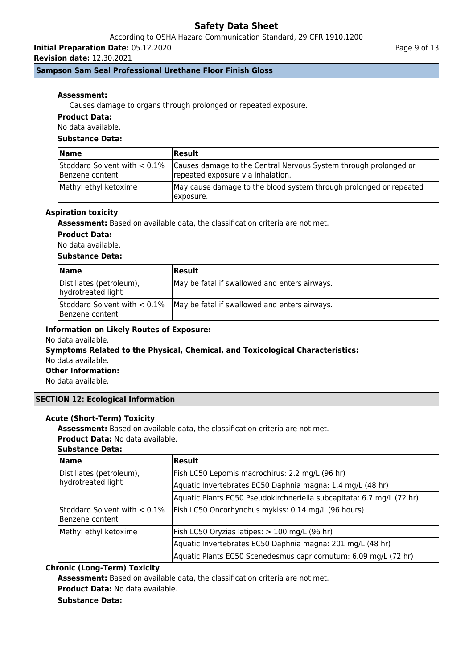## According to OSHA Hazard Communication Standard, 29 CFR 1910.1200

**Initial Preparation Date:** 05.12.2020

**Revision date:** 12.30.2021

## **Sampson Sam Seal Professional Urethane Floor Finish Gloss**

### **Assessment:**

Causes damage to organs through prolonged or repeated exposure.

## **Product Data:**

No data available.

## **Substance Data:**

| <b>Name</b>                                        | <b> Result</b>                                                                                        |
|----------------------------------------------------|-------------------------------------------------------------------------------------------------------|
| Stoddard Solvent with $< 0.1\%$<br>Benzene content | Causes damage to the Central Nervous System through prolonged or<br>repeated exposure via inhalation. |
| Methyl ethyl ketoxime                              | May cause damage to the blood system through prolonged or repeated<br>lexposure.                      |

### **Aspiration toxicity**

**Assessment:** Based on available data, the classification criteria are not met.

### **Product Data:**

No data available.

### **Substance Data:**

| <b>Name</b>                                        | Result                                        |
|----------------------------------------------------|-----------------------------------------------|
| Distillates (petroleum),<br>hydrotreated light     | May be fatal if swallowed and enters airways. |
| Stoddard Solvent with $< 0.1\%$<br>Benzene content | May be fatal if swallowed and enters airways. |

## **Information on Likely Routes of Exposure:**

No data available.

#### **Symptoms Related to the Physical, Chemical, and Toxicological Characteristics:** No data available.

**Other Information:**

No data available.

### **SECTION 12: Ecological Information**

### **Acute (Short-Term) Toxicity**

**Assessment:** Based on available data, the classification criteria are not met.

**Product Data:** No data available.

## **Substance Data:**

| <b>Name</b>                                         | Result                                                                |
|-----------------------------------------------------|-----------------------------------------------------------------------|
| Distillates (petroleum),<br>hydrotreated light      | Fish LC50 Lepomis macrochirus: 2.2 mg/L (96 hr)                       |
|                                                     | Aquatic Invertebrates EC50 Daphnia magna: 1.4 mg/L (48 hr)            |
|                                                     | Aquatic Plants EC50 Pseudokirchneriella subcapitata: 6.7 mg/L (72 hr) |
| Stoddard Solvent with $< 0.1\%$<br>lBenzene content | Fish LC50 Oncorhynchus mykiss: 0.14 mg/L (96 hours)                   |
| Methyl ethyl ketoxime                               | Fish LC50 Oryzias latipes: > 100 mg/L (96 hr)                         |
|                                                     | Aquatic Invertebrates EC50 Daphnia magna: 201 mg/L (48 hr)            |
|                                                     | Aquatic Plants EC50 Scenedesmus capricornutum: 6.09 mg/L (72 hr)      |

## **Chronic (Long-Term) Toxicity**

**Assessment:** Based on available data, the classification criteria are not met. **Product Data:** No data available.

### **Substance Data:**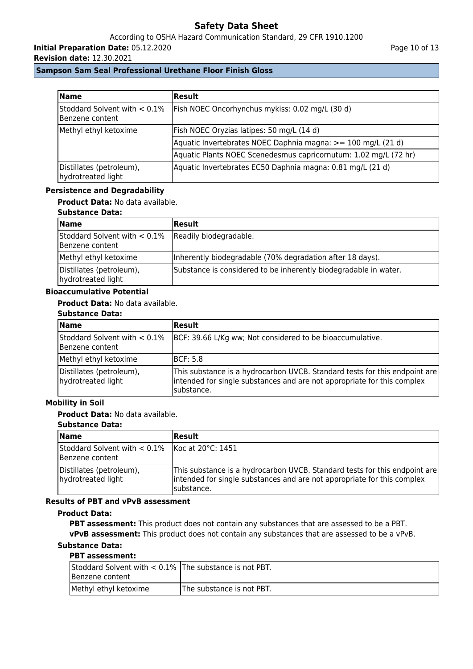# According to OSHA Hazard Communication Standard, 29 CFR 1910.1200

**Initial Preparation Date:** 05.12.2020

**Revision date:** 12.30.2021

## **Sampson Sam Seal Professional Urethane Floor Finish Gloss**

| <b>Name</b>                                     | <b>Result</b>                                                    |
|-------------------------------------------------|------------------------------------------------------------------|
| Stoddard Solvent with < 0.1%<br>Benzene content | Fish NOEC Oncorhynchus mykiss: 0.02 mg/L (30 d)                  |
| Methyl ethyl ketoxime                           | Fish NOEC Oryzias latipes: 50 mg/L (14 d)                        |
|                                                 | Aquatic Invertebrates NOEC Daphnia magna: >= 100 mg/L (21 d)     |
|                                                 | Aquatic Plants NOEC Scenedesmus capricornutum: 1.02 mg/L (72 hr) |
| Distillates (petroleum),<br>hydrotreated light  | Aquatic Invertebrates EC50 Daphnia magna: 0.81 mg/L (21 d)       |

### **Persistence and Degradability**

**Product Data:** No data available.

### **Substance Data:**

| <b>Name</b>                                        | Result                                                           |
|----------------------------------------------------|------------------------------------------------------------------|
| Stoddard Solvent with $< 0.1\%$<br>Benzene content | Readily biodegradable.                                           |
| Methyl ethyl ketoxime                              | Inherently biodegradable (70% degradation after 18 days).        |
| Distillates (petroleum),<br>hydrotreated light     | Substance is considered to be inherently biodegradable in water. |

### **Bioaccumulative Potential**

### **Product Data:** No data available.

## **Substance Data:**

| <b>Name</b>                                    | <b>Result</b>                                                                                                                                                       |
|------------------------------------------------|---------------------------------------------------------------------------------------------------------------------------------------------------------------------|
| Benzene content                                | Stoddard Solvent with < 0.1%   BCF: 39.66 L/Kg ww; Not considered to be bioaccumulative.                                                                            |
| Methyl ethyl ketoxime                          | IBCF: 5.8                                                                                                                                                           |
| Distillates (petroleum),<br>hydrotreated light | This substance is a hydrocarbon UVCB. Standard tests for this endpoint are<br>intended for single substances and are not appropriate for this complex<br>substance. |

## **Mobility in Soil**

## **Product Data:** No data available.

### **Substance Data:**

| <b>Name</b>                                                          | Result                                                                                                                                                               |
|----------------------------------------------------------------------|----------------------------------------------------------------------------------------------------------------------------------------------------------------------|
| Stoddard Solvent with $< 0.1\%$ Koc at 20°C: 1451<br>Benzene content |                                                                                                                                                                      |
| Distillates (petroleum),<br>hydrotreated light                       | This substance is a hydrocarbon UVCB. Standard tests for this endpoint are<br>intended for single substances and are not appropriate for this complex<br>Isubstance. |

## **Results of PBT and vPvB assessment**

#### **Product Data:**

**PBT assessment:** This product does not contain any substances that are assessed to be a PBT. **vPvB assessment:** This product does not contain any substances that are assessed to be a vPvB.

## **Substance Data:**

## **PBT assessment:**

| Stoddard Solvent with $< 0.1\%$ The substance is not PBT.<br>Benzene content |                            |
|------------------------------------------------------------------------------|----------------------------|
| Methyl ethyl ketoxime                                                        | IThe substance is not PBT. |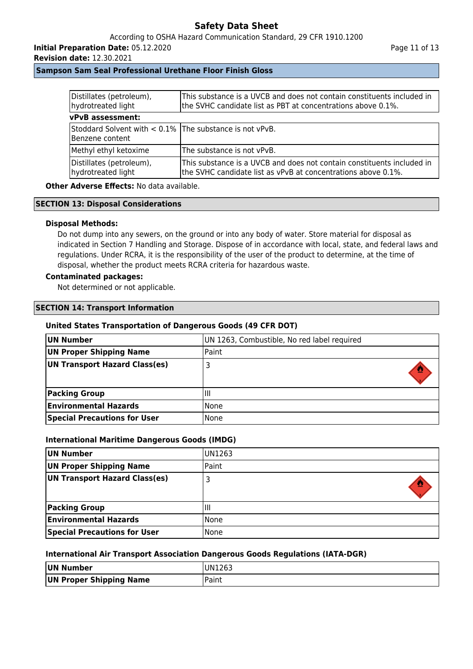## According to OSHA Hazard Communication Standard, 29 CFR 1910.1200

**Initial Preparation Date:** 05.12.2020

**Revision date:** 12.30.2021

Page 11 of 13

## **Sampson Sam Seal Professional Urethane Floor Finish Gloss**

| Distillates (petroleum),<br>hydrotreated light                                | This substance is a UVCB and does not contain constituents included in<br>the SVHC candidate list as PBT at concentrations above 0.1%.  |  |
|-------------------------------------------------------------------------------|-----------------------------------------------------------------------------------------------------------------------------------------|--|
| <b>vPvB</b> assessment:                                                       |                                                                                                                                         |  |
| Stoddard Solvent with $< 0.1\%$ The substance is not vPvB.<br>Benzene content |                                                                                                                                         |  |
| Methyl ethyl ketoxime                                                         | The substance is not vPvB.                                                                                                              |  |
| Distillates (petroleum),<br>hydrotreated light                                | This substance is a UVCB and does not contain constituents included in<br>the SVHC candidate list as vPvB at concentrations above 0.1%. |  |

**Other Adverse Effects: No data available.** 

## **SECTION 13: Disposal Considerations**

### **Disposal Methods:**

Do not dump into any sewers, on the ground or into any body of water. Store material for disposal as indicated in Section 7 Handling and Storage. Dispose of in accordance with local, state, and federal laws and regulations. Under RCRA, it is the responsibility of the user of the product to determine, at the time of disposal, whether the product meets RCRA criteria for hazardous waste.

### **Contaminated packages:**

Not determined or not applicable.

#### **SECTION 14: Transport Information**

### **United States Transportation of Dangerous Goods (49 CFR DOT)**

| UN Number                            | UN 1263, Combustible, No red label required |
|--------------------------------------|---------------------------------------------|
| UN Proper Shipping Name              | Paint                                       |
| <b>UN Transport Hazard Class(es)</b> |                                             |
| <b>Packing Group</b>                 | IШ                                          |
| <b>Environmental Hazards</b>         | None                                        |
| <b>Special Precautions for User</b>  | None                                        |

### **International Maritime Dangerous Goods (IMDG)**

| UN Number                           | UN1263 |
|-------------------------------------|--------|
| UN Proper Shipping Name             | Paint  |
| UN Transport Hazard Class(es)       |        |
| <b>Packing Group</b>                | Ш      |
| <b>Environmental Hazards</b>        | None   |
| <b>Special Precautions for User</b> | None   |

### **International Air Transport Association Dangerous Goods Regulations (IATA-DGR)**

| UN Number               | UN1263 |
|-------------------------|--------|
| UN Proper Shipping Name | Paint  |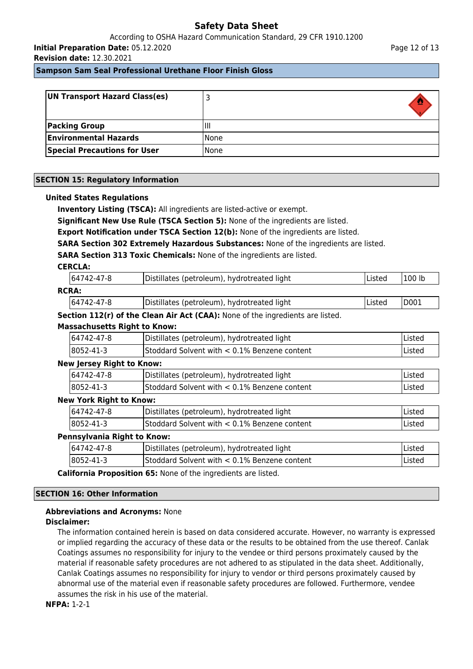According to OSHA Hazard Communication Standard, 29 CFR 1910.1200 **Initial Preparation Date:** 05.12.2020

**Revision date:** 12.30.2021

**Sampson Sam Seal Professional Urethane Floor Finish Gloss**

| UN Transport Hazard Class(es)       |             |
|-------------------------------------|-------------|
| <b>Packing Group</b>                | Ш           |
| <b>Environmental Hazards</b>        | <b>None</b> |
| <b>Special Precautions for User</b> | <b>None</b> |

### **SECTION 15: Regulatory Information**

### **United States Regulations**

**Inventory Listing (TSCA):** All ingredients are listed-active or exempt.

**Significant New Use Rule (TSCA Section 5):** None of the ingredients are listed.

**Export Notification under TSCA Section 12(b):** None of the ingredients are listed.

**SARA Section 302 Extremely Hazardous Substances:** None of the ingredients are listed.

**SARA Section 313 Toxic Chemicals:** None of the ingredients are listed.

### **CERCLA:**

|                                | 64742-47-8                          | Distillates (petroleum), hydrotreated light                                    | Listed | 100 lb |  |
|--------------------------------|-------------------------------------|--------------------------------------------------------------------------------|--------|--------|--|
|                                | <b>RCRA:</b>                        |                                                                                |        |        |  |
|                                | 64742-47-8                          | Distillates (petroleum), hydrotreated light                                    | Listed | D001   |  |
|                                |                                     | Section 112(r) of the Clean Air Act (CAA): None of the ingredients are listed. |        |        |  |
|                                | <b>Massachusetts Right to Know:</b> |                                                                                |        |        |  |
|                                | 64742-47-8                          | Distillates (petroleum), hydrotreated light                                    |        | Listed |  |
|                                | 8052-41-3                           | Stoddard Solvent with < 0.1% Benzene content                                   |        | Listed |  |
|                                | <b>New Jersey Right to Know:</b>    |                                                                                |        |        |  |
|                                | 64742-47-8                          | Distillates (petroleum), hydrotreated light                                    |        | Listed |  |
|                                | 8052-41-3                           | Stoddard Solvent with < 0.1% Benzene content                                   |        | Listed |  |
| <b>New York Right to Know:</b> |                                     |                                                                                |        |        |  |
|                                | 64742-47-8                          | Distillates (petroleum), hydrotreated light                                    |        | Listed |  |
|                                | 8052-41-3                           | Stoddard Solvent with < 0.1% Benzene content                                   |        | Listed |  |
| Pennsylvania Right to Know:    |                                     |                                                                                |        |        |  |
|                                | 64742-47-8                          | Distillates (petroleum), hydrotreated light                                    |        | Listed |  |
|                                | 8052-41-3                           | Stoddard Solvent with < 0.1% Benzene content                                   |        | Listed |  |
|                                |                                     |                                                                                |        |        |  |

**California Proposition 65:** None of the ingredients are listed.

### **SECTION 16: Other Information**

# **Abbreviations and Acronyms:** None

## **Disclaimer:**

The information contained herein is based on data considered accurate. However, no warranty is expressed or implied regarding the accuracy of these data or the results to be obtained from the use thereof. Canlak Coatings assumes no responsibility for injury to the vendee or third persons proximately caused by the material if reasonable safety procedures are not adhered to as stipulated in the data sheet. Additionally, Canlak Coatings assumes no responsibility for injury to vendor or third persons proximately caused by abnormal use of the material even if reasonable safety procedures are followed. Furthermore, vendee assumes the risk in his use of the material.

**NFPA:** 1-2-1